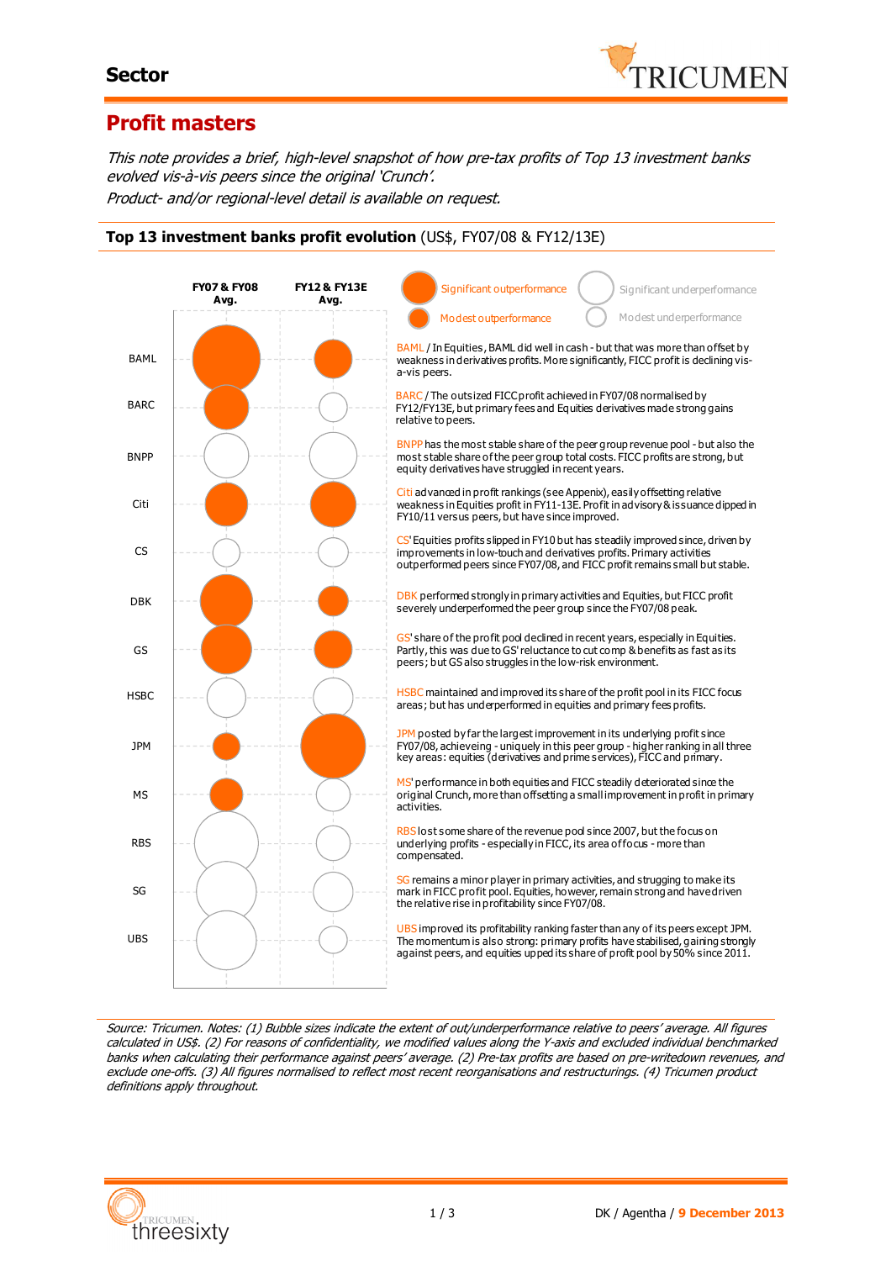#### **Sector**



### **Profit masters**

This note provides a brief, high-level snapshot of how pre-tax profits of Top 13 investment banks evolved vis-à-vis peers since the original 'Crunch'. Product- and/or regional-level detail is available on request.

**Top 13 investment banks profit evolution** (US\$, FY07/08 & FY12/13E)

10 **FY12 & FY13E Avg. FY07 & FY08 Avg. BAML BARC RNPP** Citi CS DBK GS **HSBC** JPM MS **RBS** SG UBS BARC / The outsized FICC profit achieved in FY07/08 normalised by FY12/FY13E, but primary fees and Equities derivatives made strong gains relative to peers. BAML / In Equities, BAML did well in cash - but that was more than offset by weakness in derivatives profits. More significantly, FICC profit is declining visa-vis peers. BNPP has the most stable share of the peer group revenue pool - but also the most stable share of the peer group total costs. FICC profits are strong, but equity derivatives have struggled in recent years. Citi advanced in profit rankings (see Appenix), easily offsetting relative weakness in Equities profit in FY11-13E. Profit in advisory & issuance dipped in FY10/11 versus peers, but have since improved. CS' Equities profits slipped in FY10 but has steadily improved since, driven by improvements in low-touch and derivatives profits. Primary activities outperformed peers since FY07/08, and FICC profit remains small but stable. DBK performed strongly in primary activities and Equities, but FICC profit severely underperformed the peer group since the FY07/08 peak. GS' share of the profit pool declined in recent years, especially in Equities. Partly, this was due to GS' reluctance to cut comp & benefits as fast as its peers; but GS also struggles in the low-risk environment. HSBC maintained and improved its share of the profit pool in its FICC focus areas; but has underperformed in equities and primary fees profits. JPM posted by far the largest improvement in its underlying profit since FY07/08, achieveing - uniquely in this peer group - higher ranking in all three key areas: equities (derivatives and prime services), FICC and primary. MS' performance in both equities and FICC steadily deteriorated since the original Crunch, more than offsetting a small improvement in profit in primary activities. RBS lost some share of the revenue pool since 2007, but the focus on underlying profits - especially in FICC, its area of focus - more than compensated. SG remains a minor player in primary activities, and strugging to make its mark in FICC profit pool. Equities, however, remain strong and have driven the relative rise in profitability since FY07/08. UBS improved its profitability ranking faster than any of its peers except JPM. The momentum is also strong: primary profits have stabilised, gaining strongly against peers, and equities upped its share of profit pool by 50% since 2011. Modest underperformance Significant underperformance Modest outperformance Significant outperformance

Source: Tricumen. Notes: (1) Bubble sizes indicate the extent of out/underperformance relative to peers' average. All figures calculated in US\$. (2) For reasons of confidentiality, we modified values along the Y-axis and excluded individual benchmarked banks when calculating their performance against peers' average. (2) Pre-tax profits are based on pre-writedown revenues, and exclude one-offs. (3) All figures normalised to reflect most recent reorganisations and restructurings. (4) Tricumen product definitions apply throughout.

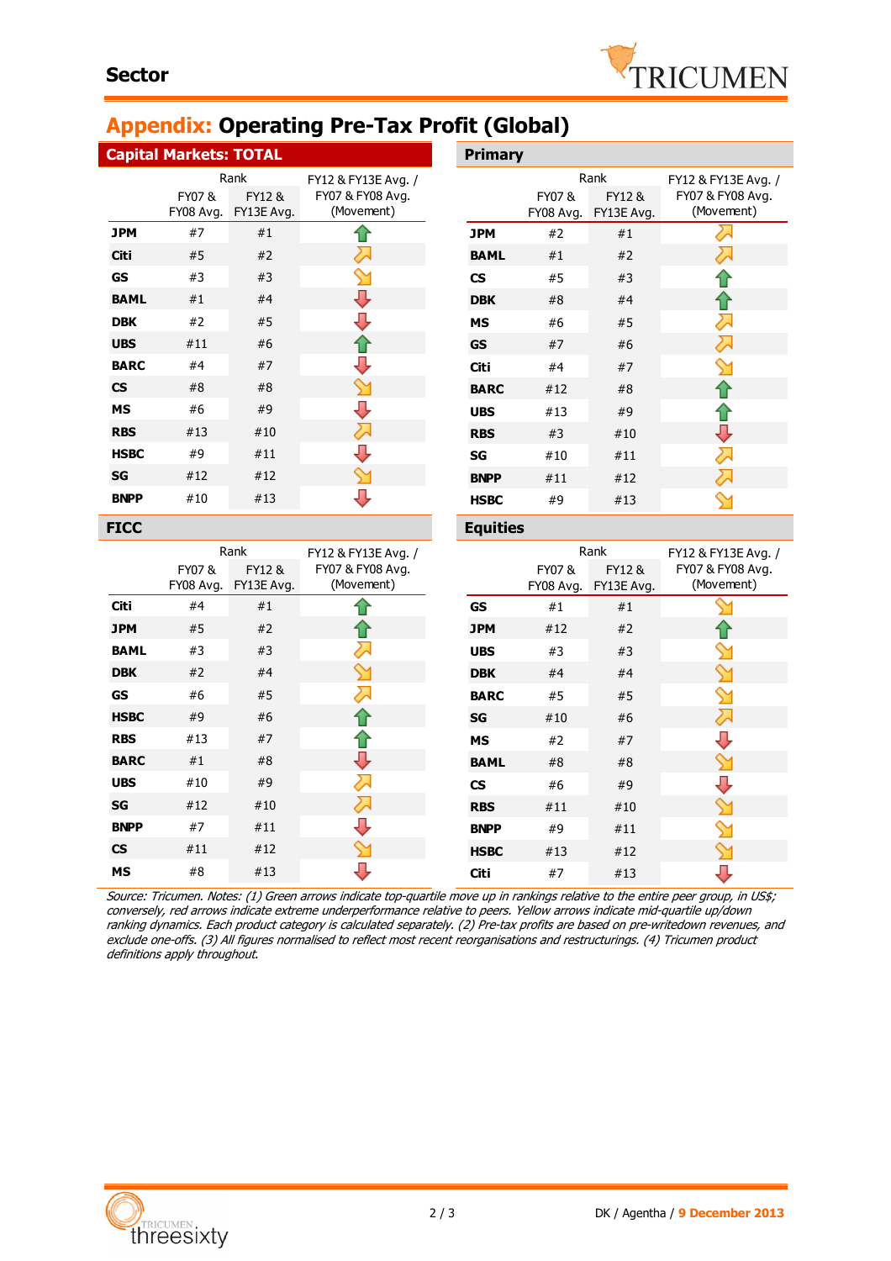# **Appendix: Operating Pre-Tax Profit (Global)**

|                                        | <b>Capital Markets: TOTAL</b> |                               |                                | <b>Primary</b>            |                     |                      |                                |  |
|----------------------------------------|-------------------------------|-------------------------------|--------------------------------|---------------------------|---------------------|----------------------|--------------------------------|--|
|                                        | Rank                          |                               | FY12 & FY13E Avg. /            |                           | Rank                |                      | FY12 & FY13E Avg. /            |  |
|                                        | FY07&                         | FY12&<br>FY08 Avg. FY13E Avg. | FY07 & FY08 Avg.<br>(Movement) |                           | FY07 &<br>FY08 Avg. | FY12 &<br>FY13E Avg. | FY07 & FY08 Avg.<br>(Movement) |  |
| <b>JPM</b>                             | #7                            | #1                            |                                | <b>JPM</b>                | #2                  | #1                   | 2.                             |  |
| <b>Citi</b>                            | $\#5$                         | #2                            | み                              | <b>BAML</b>               | #1                  | #2                   | ⇗                              |  |
| <b>GS</b>                              | #3                            | #3                            |                                | $\mathsf{CS}\phantom{.0}$ | #5                  | #3                   |                                |  |
| <b>BAML</b>                            | #1                            | #4                            | J                              | <b>DBK</b>                | #8                  | #4                   |                                |  |
| <b>DBK</b>                             | #2                            | #5                            | J                              | <b>MS</b>                 | #6                  | #5                   | ⇗                              |  |
| <b>UBS</b>                             | #11                           | #6                            | 仆                              | <b>GS</b>                 | #7                  | #6                   | 对                              |  |
| <b>BARC</b>                            | #4                            | #7                            | л                              | <b>Citi</b>               | #4                  | #7                   |                                |  |
| $\mathsf{CS}\phantom{0}$               | #8                            | #8                            |                                | <b>BARC</b>               | #12                 | #8                   |                                |  |
| <b>MS</b>                              | #6                            | #9                            | J                              | <b>UBS</b>                | #13                 | #9                   |                                |  |
| <b>RBS</b>                             | #13                           | #10                           | ↗                              | <b>RBS</b>                | #3                  | #10                  | ⇩                              |  |
| <b>HSBC</b>                            | #9                            | #11                           | л                              | SG                        | #10                 | #11                  | ⋝                              |  |
| SG                                     | #12                           | #12                           | ∾                              | <b>BNPP</b>               | #11                 | #12                  | 对                              |  |
| <b>BNPP</b>                            | #10                           | #13                           | ⊕                              | <b>HSBC</b>               | #9                  | #13                  |                                |  |
| <b>FICC</b>                            |                               |                               |                                |                           | <b>Equities</b>     |                      |                                |  |
|                                        |                               |                               |                                |                           |                     |                      |                                |  |
|                                        |                               | Rank                          | FY12 & FY13E Avg. /            |                           |                     | Rank                 | FY12 & FY13E Avg. /            |  |
|                                        | FY07&                         | FY12&<br>FY08 Avg. FY13E Avg. | FY07 & FY08 Avg.<br>(Movement) |                           | FY07 &<br>FY08 Avg. | FY12&<br>FY13E Avg.  | FY07 & FY08 Avg.<br>(Movement) |  |
| Citi                                   | #4                            | #1                            | 1 r                            | <b>GS</b>                 | #1                  | #1                   |                                |  |
| <b>JPM</b>                             | #5                            | #2                            | 1 P                            | <b>JPM</b>                | #12                 | #2                   |                                |  |
| <b>BAML</b>                            | #3                            | #3                            | ⋝                              | <b>UBS</b>                | #3                  | #3                   |                                |  |
| <b>DBK</b>                             | #2                            | #4                            |                                | <b>DBK</b>                | #4                  | #4                   |                                |  |
| <b>GS</b>                              | #6                            | #5                            | ≻                              | <b>BARC</b>               | #5                  | #5                   |                                |  |
| <b>HSBC</b>                            | #9                            | #6                            |                                | SG                        | #10                 | #6                   | 对                              |  |
| <b>RBS</b>                             | #13                           | #7                            | íΓ                             | <b>MS</b>                 | #2                  | #7                   | Π,                             |  |
| <b>BARC</b>                            | #1                            | #8                            | ⇩                              | <b>BAML</b>               | #8                  | #8                   | ⇘                              |  |
| <b>UBS</b>                             | #10                           | #9                            | ⋝                              | $\mathsf{CS}\phantom{.0}$ | #6                  | #9                   | U                              |  |
| $\operatorname{\mathsf{SG}}$           | $\#12$                        | #10                           | 运                              | <b>RBS</b>                | #11                 | $\#10$               |                                |  |
| <b>BNPP</b>                            | #7                            | #11                           | J                              | <b>BNPP</b>               | #9                  | #11                  |                                |  |
| $\mathsf{CS}\phantom{.0}$<br><b>MS</b> | #11<br>#8                     | #12<br>#13                    | J                              | <b>HSBC</b>               | #13                 | #12                  | U                              |  |

Source: Tricumen. Notes: (1) Green arrows indicate top-quartile move up in rankings relative to the entire peer group, in US\$; conversely, red arrows indicate extreme underperformance relative to peers. Yellow arrows indicate mid-quartile up/down ranking dynamics. Each product category is calculated separately. (2) Pre-tax profits are based on pre-writedown revenues, and exclude one-offs. (3) All figures normalised to reflect most recent reorganisations and restructurings. (4) Tricumen product definitions apply throughout.